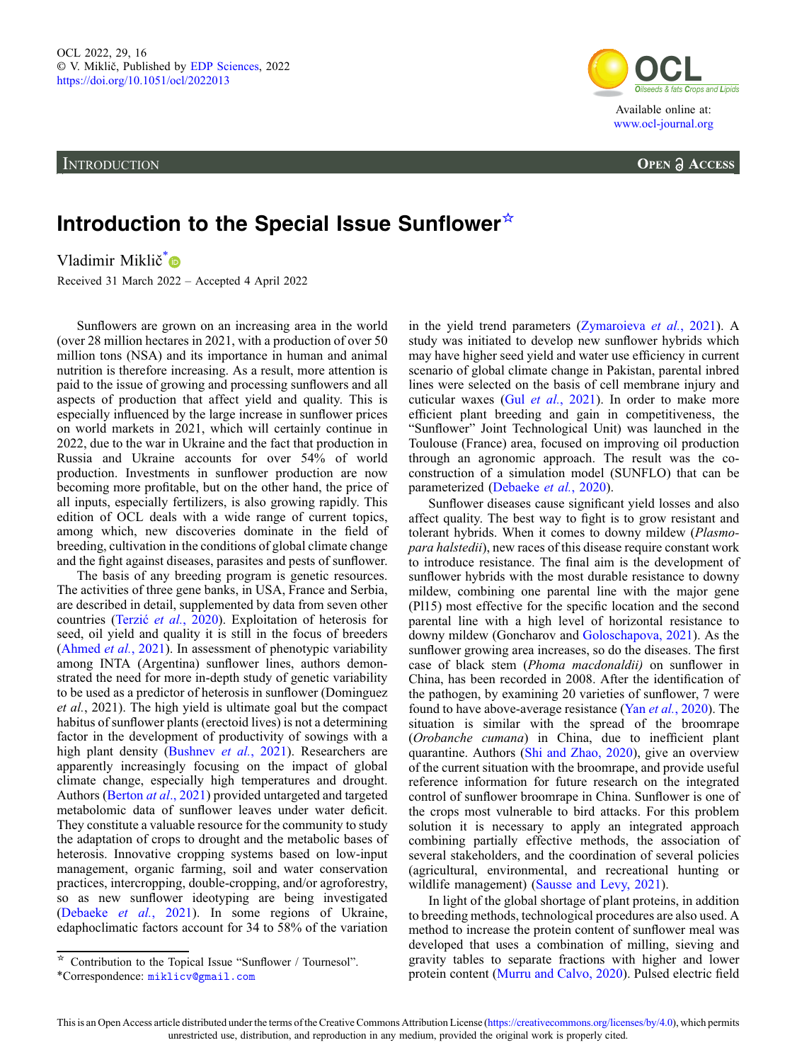**INTRODUCTION** 



**OPEN A ACCESS** 

## Introduction to the Special Issue Sunflower☆

Vladimir Miklič<sup>[\\*](https://orcid.org/0000-0002-9991-8924)</sup>

Received 31 March 2022 – Accepted 4 April 2022

Sunflowers are grown on an increasing area in the world (over 28 million hectares in 2021, with a production of over 50 million tons (NSA) and its importance in human and animal nutrition is therefore increasing. As a result, more attention is paid to the issue of growing and processing sunflowers and all aspects of production that affect yield and quality. This is especially influenced by the large increase in sunflower prices on world markets in 2021, which will certainly continue in 2022, due to the war in Ukraine and the fact that production in Russia and Ukraine accounts for over 54% of world production. Investments in sunflower production are now becoming more profitable, but on the other hand, the price of all inputs, especially fertilizers, is also growing rapidly. This edition of OCL deals with a wide range of current topics, among which, new discoveries dominate in the field of breeding, cultivation in the conditions of global climate change and the fight against diseases, parasites and pests of sunflower.

The basis of any breeding program is genetic resources. The activities of three gene banks, in USA, France and Serbia, are described in detail, supplemented by data from seven other countries (Terzić et al.[, 2020](#page-1-0)). Exploitation of heterosis for seed, oil yield and quality it is still in the focus of breeders ([Ahmed](#page-1-0) et al., 2021). In assessment of phenotypic variability among INTA (Argentina) sunflower lines, authors demonstrated the need for more in-depth study of genetic variability to be used as a predictor of heterosis in sunflower (Dominguez et al., 2021). The high yield is ultimate goal but the compact habitus of sunflower plants (erectoid lives) is not a determining factor in the development of productivity of sowings with a high plant density [\(Bushnev](#page-1-0) et al., 2021). Researchers are apparently increasingly focusing on the impact of global climate change, especially high temperatures and drought. Authors [\(Berton](#page-1-0) at al., 2021) provided untargeted and targeted metabolomic data of sunflower leaves under water deficit. They constitute a valuable resource for the community to study the adaptation of crops to drought and the metabolic bases of heterosis. Innovative cropping systems based on low-input management, organic farming, soil and water conservation practices, intercropping, double-cropping, and/or agroforestry, so as new sunflower ideotyping are being investigated ([Debaeke](#page-1-0) et al., 2021). In some regions of Ukraine, edaphoclimatic factors account for 34 to 58% of the variation

in the yield trend parameters [\(Zymaroieva](#page-1-0) et al., 2021). A study was initiated to develop new sunflower hybrids which may have higher seed yield and water use efficiency in current scenario of global climate change in Pakistan, parental inbred lines were selected on the basis of cell membrane injury and cuticular waxes (Gul et al.[, 2021\)](#page-1-0). In order to make more efficient plant breeding and gain in competitiveness, the "Sunflower" Joint Technological Unit) was launched in the Toulouse (France) area, focused on improving oil production through an agronomic approach. The result was the coconstruction of a simulation model (SUNFLO) that can be parameterized ([Debaeke](#page-1-0) et al., 2020).

Sunflower diseases cause significant yield losses and also affect quality. The best way to fight is to grow resistant and tolerant hybrids. When it comes to downy mildew (Plasmopara halstedii), new races of this disease require constant work to introduce resistance. The final aim is the development of sunflower hybrids with the most durable resistance to downy mildew, combining one parental line with the major gene (Pl15) most effective for the specific location and the second parental line with a high level of horizontal resistance to downy mildew (Goncharov and [Goloschapova, 2021](#page-1-0)). As the sunflower growing area increases, so do the diseases. The first case of black stem (Phoma macdonaldii) on sunflower in China, has been recorded in 2008. After the identification of the pathogen, by examining 20 varieties of sunflower, 7 were found to have above-average resistance (Yan et al.[, 2020](#page-1-0)). The situation is similar with the spread of the broomrape (Orobanche cumana) in China, due to inefficient plant quarantine. Authors [\(Shi and Zhao, 2020](#page-1-0)), give an overview of the current situation with the broomrape, and provide useful reference information for future research on the integrated control of sunflower broomrape in China. Sunflower is one of the crops most vulnerable to bird attacks. For this problem solution it is necessary to apply an integrated approach combining partially effective methods, the association of several stakeholders, and the coordination of several policies (agricultural, environmental, and recreational hunting or wildlife management) ([Sausse and Levy, 2021](#page-1-0)).

In light of the global shortage of plant proteins, in addition to breeding methods, technological procedures are also used. A method to increase the protein content of sunflower meal was developed that uses a combination of milling, sieving and gravity tables to separate fractions with higher and lower protein content ([Murru and Calvo, 2020\)](#page-1-0). Pulsed electric field

<sup>☆</sup> Contribution to the Topical Issue "Sunflower / Tournesol".

<sup>\*</sup>Correspondence: [miklicv@gmail.com](mailto:miklicv@gmail.com)

This is an Open Access article distributed under the terms of the Creative Commons Attribution License ([https://creativecommons.org/licenses/by/4.0\)](https://creativecommons.org/licenses/by/4.0), which permits unrestricted use, distribution, and reproduction in any medium, provided the original work is properly cited.